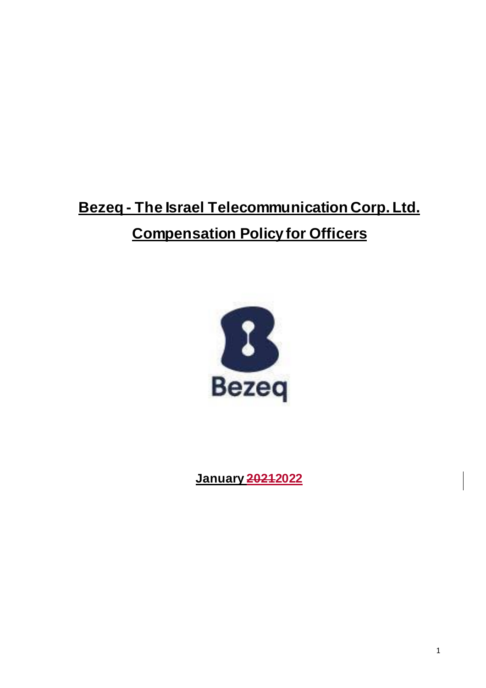# **Bezeq - The Israel Telecommunication Corp. Ltd. Compensation Policy for Officers**



**January 20212022**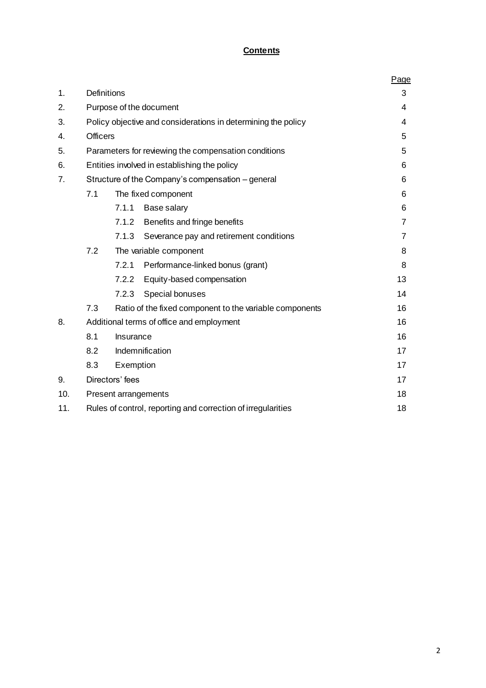# **Contents**

|     |                                                              |                                                               |                                         | Page |  |  |  |  |
|-----|--------------------------------------------------------------|---------------------------------------------------------------|-----------------------------------------|------|--|--|--|--|
| 1.  | <b>Definitions</b>                                           |                                                               |                                         | 3    |  |  |  |  |
| 2.  |                                                              |                                                               | Purpose of the document                 | 4    |  |  |  |  |
| 3.  |                                                              | Policy objective and considerations in determining the policy |                                         |      |  |  |  |  |
| 4.  |                                                              | <b>Officers</b>                                               |                                         |      |  |  |  |  |
| 5.  |                                                              | Parameters for reviewing the compensation conditions          |                                         |      |  |  |  |  |
| 6.  |                                                              | Entities involved in establishing the policy                  |                                         |      |  |  |  |  |
| 7.  |                                                              | Structure of the Company's compensation – general             |                                         |      |  |  |  |  |
|     | 7.1                                                          | The fixed component                                           | 6                                       |      |  |  |  |  |
|     |                                                              | 7.1.1                                                         | Base salary                             | 6    |  |  |  |  |
|     |                                                              | 7.1.2                                                         | Benefits and fringe benefits            | 7    |  |  |  |  |
|     |                                                              | 7.1.3                                                         | Severance pay and retirement conditions | 7    |  |  |  |  |
|     | 7.2                                                          |                                                               | The variable component                  | 8    |  |  |  |  |
|     |                                                              | 7.2.1                                                         | Performance-linked bonus (grant)        | 8    |  |  |  |  |
|     |                                                              | 7.2.2                                                         | Equity-based compensation               | 13   |  |  |  |  |
|     |                                                              | 7.2.3                                                         | Special bonuses                         | 14   |  |  |  |  |
|     | 7.3                                                          | Ratio of the fixed component to the variable components       |                                         |      |  |  |  |  |
| 8.  | Additional terms of office and employment                    | 16                                                            |                                         |      |  |  |  |  |
|     | 8.1                                                          | Insurance                                                     |                                         |      |  |  |  |  |
|     | 8.2                                                          | Indemnification                                               |                                         |      |  |  |  |  |
|     | 8.3                                                          | 17                                                            |                                         |      |  |  |  |  |
| 9.  |                                                              | Directors' fees                                               |                                         | 17   |  |  |  |  |
| 10. |                                                              | Present arrangements                                          |                                         |      |  |  |  |  |
| 11. | Rules of control, reporting and correction of irregularities |                                                               |                                         |      |  |  |  |  |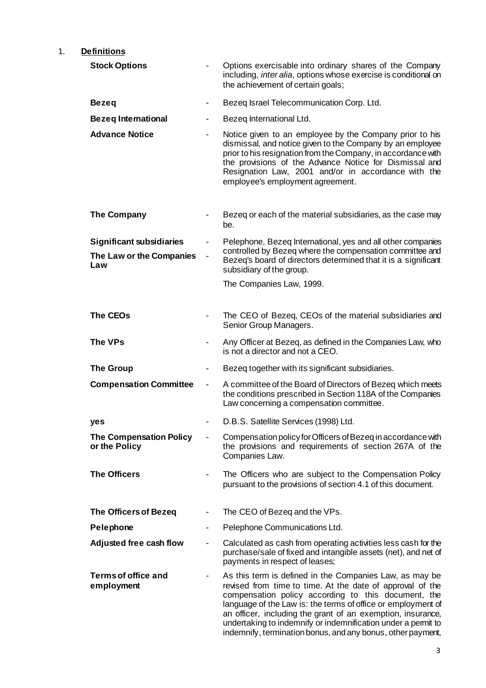# 1. **Definitions**

| <b>Stock Options</b>                                               |                          | Options exercisable into ordinary shares of the Company<br>including, <i>inter alia</i> , options whose exercise is conditional on<br>the achievement of certain goals;                                                                                                                                                                                                                                                                    |  |
|--------------------------------------------------------------------|--------------------------|--------------------------------------------------------------------------------------------------------------------------------------------------------------------------------------------------------------------------------------------------------------------------------------------------------------------------------------------------------------------------------------------------------------------------------------------|--|
| <b>Bezeq</b>                                                       | ۰                        | Bezeq Israel Telecommunication Corp. Ltd.                                                                                                                                                                                                                                                                                                                                                                                                  |  |
| <b>Bezeq International</b>                                         |                          | Bezeq International Ltd.                                                                                                                                                                                                                                                                                                                                                                                                                   |  |
| <b>Advance Notice</b>                                              |                          | Notice given to an employee by the Company prior to his<br>dismissal, and notice given to the Company by an employee<br>prior to his resignation from the Company, in accordance with<br>the provisions of the Advance Notice for Dismissal and<br>Resignation Law, 2001 and/or in accordance with the<br>employee's employment agreement.                                                                                                 |  |
| The Company                                                        |                          | Bezeg or each of the material subsidiaries, as the case may<br>be.                                                                                                                                                                                                                                                                                                                                                                         |  |
| <b>Significant subsidiaries</b><br>The Law or the Companies<br>Law |                          | Pelephone, Bezeq International, yes and all other companies<br>controlled by Bezeq where the compensation committee and<br>Bezeq's board of directors determined that it is a significant<br>subsidiary of the group.                                                                                                                                                                                                                      |  |
|                                                                    |                          | The Companies Law, 1999.                                                                                                                                                                                                                                                                                                                                                                                                                   |  |
| <b>The CEOs</b>                                                    |                          | The CEO of Bezeq, CEOs of the material subsidiaries and<br>Senior Group Managers.                                                                                                                                                                                                                                                                                                                                                          |  |
| The VPs                                                            | $\overline{\phantom{0}}$ | Any Officer at Bezeq, as defined in the Companies Law, who<br>is not a director and not a CEO.                                                                                                                                                                                                                                                                                                                                             |  |
| <b>The Group</b>                                                   | $\overline{\phantom{0}}$ | Bezeq together with its significant subsidiaries.                                                                                                                                                                                                                                                                                                                                                                                          |  |
| <b>Compensation Committee</b>                                      | $\blacksquare$           | A committee of the Board of Directors of Bezeq which meets<br>the conditions prescribed in Section 118A of the Companies<br>Law concerning a compensation committee.                                                                                                                                                                                                                                                                       |  |
| yes                                                                |                          | D.B.S. Satellite Services (1998) Ltd.                                                                                                                                                                                                                                                                                                                                                                                                      |  |
| <b>The Compensation Policy</b><br>or the Policy                    |                          | Compensation policy for Officers of Bezeq in accordance with<br>the provisions and requirements of section 267A of the<br>Companies Law.                                                                                                                                                                                                                                                                                                   |  |
| <b>The Officers</b>                                                |                          | The Officers who are subject to the Compensation Policy<br>pursuant to the provisions of section 4.1 of this document.                                                                                                                                                                                                                                                                                                                     |  |
| <b>The Officers of Bezeq</b>                                       |                          | The CEO of Bezeq and the VPs.                                                                                                                                                                                                                                                                                                                                                                                                              |  |
| Pelephone                                                          | $\overline{\phantom{0}}$ | Pelephone Communications Ltd.                                                                                                                                                                                                                                                                                                                                                                                                              |  |
| Adjusted free cash flow                                            | $\blacksquare$           | Calculated as cash from operating activities less cash for the<br>purchase/sale of fixed and intangible assets (net), and net of<br>payments in respect of leases;                                                                                                                                                                                                                                                                         |  |
| <b>Terms of office and</b><br>employment                           |                          | As this term is defined in the Companies Law, as may be<br>revised from time to time. At the date of approval of the<br>compensation policy according to this document, the<br>language of the Law is: the terms of office or employment of<br>an officer, including the grant of an exemption, insurance,<br>undertaking to indemnify or indemnification under a permit to<br>indemnify, termination bonus, and any bonus, other payment, |  |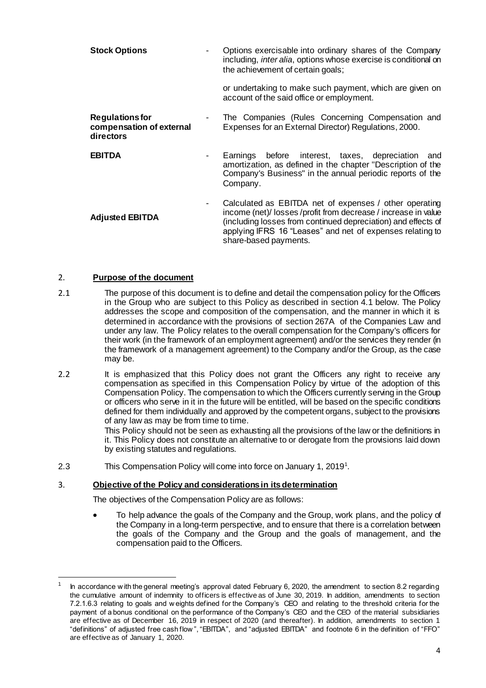| <b>Stock Options</b>                                            | Options exercisable into ordinary shares of the Company<br>including, <i>inter alia</i> , options whose exercise is conditional on<br>the achievement of certain goals;                                                                                                      |
|-----------------------------------------------------------------|------------------------------------------------------------------------------------------------------------------------------------------------------------------------------------------------------------------------------------------------------------------------------|
|                                                                 | or undertaking to make such payment, which are given on<br>account of the said office or employment.                                                                                                                                                                         |
| <b>Regulations for</b><br>compensation of external<br>directors | The Companies (Rules Concerning Compensation and<br>Expenses for an External Director) Regulations, 2000.                                                                                                                                                                    |
| <b>EBITDA</b>                                                   | Earnings before interest, taxes, depreciation<br>and<br>amortization, as defined in the chapter "Description of the<br>Company's Business" in the annual periodic reports of the<br>Company.                                                                                 |
| <b>Adjusted EBITDA</b>                                          | Calculated as EBITDA net of expenses / other operating<br>income (net)/ losses/profit from decrease/increase in value<br>(including losses from continued depreciation) and effects of<br>applying IFRS 16 "Leases" and net of expenses relating to<br>share-based payments. |

## 2. **Purpose of the document**

1

- 2.1 The purpose of this document is to define and detail the compensation policy for the Officers in the Group who are subject to this Policy as described in section 4.1 below. The Policy addresses the scope and composition of the compensation, and the manner in which it is determined in accordance with the provisions of section 267A of the Companies Law and under any law. The Policy relates to the overall compensation for the Company's officers for their work (in the framework of an employment agreement) and/or the services they render (in the framework of a management agreement) to the Company and/or the Group, as the case may be.
- 2.2 It is emphasized that this Policy does not grant the Officers any right to receive any compensation as specified in this Compensation Policy by virtue of the adoption of this Compensation Policy. The compensation to which the Officers currently serving in the Group or officers who serve in it in the future will be entitled, will be based on the specific conditions defined for them individually and approved by the competent organs, subject to the provisions of any law as may be from time to time.

This Policy should not be seen as exhausting all the provisions of the law or the definitions in it. This Policy does not constitute an alternative to or derogate from the provisions laid down by existing statutes and regulations.

2.3 This Compensation Policy will come into force on January 1, 2019<sup>1</sup>.

## 3. **Objective of the Policy and considerations in its determination**

The objectives of the Compensation Policy are as follows:

 To help advance the goals of the Company and the Group, work plans, and the policy of the Company in a long-term perspective, and to ensure that there is a correlation between the goals of the Company and the Group and the goals of management, and the compensation paid to the Officers.

<sup>1</sup> In accordance w ith the general meeting's approval dated February 6, 2020, the amendment to section 8.2 regarding the cumulative amount of indemnity to officers is effective as of June 30, 2019. In addition, amendments to section 7.2.1.6.3 relating to goals and w eights defined for the Company's CEO and relating to the threshold criteria for the payment of a bonus conditional on the performance of the Company's CEO and the CEO of the material subsidiaries are effective as of December 16, 2019 in respect of 2020 (and thereafter). In addition, amendments to section 1 "definitions" of adjusted free cash flow ", "EBITDA", and "adjusted EBITDA" and footnote 6 in the definition of "FFO" are effective as of January 1, 2020.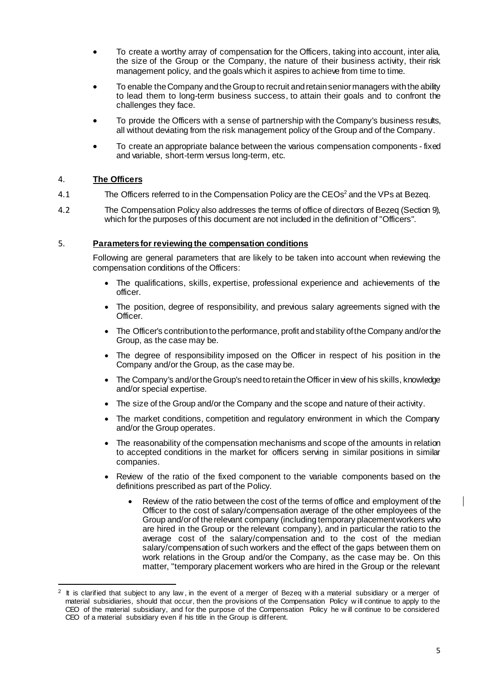- To create a worthy array of compensation for the Officers, taking into account, inter alia, the size of the Group or the Company, the nature of their business activity, their risk management policy, and the goals which it aspires to achieve from time to time.
- To enable the Company and the Group to recruit and retain senior managers with the ability to lead them to long-term business success, to attain their goals and to confront the challenges they face.
- To provide the Officers with a sense of partnership with the Company's business results, all without deviating from the risk management policy of the Group and of the Company.
- To create an appropriate balance between the various compensation components fixed and variable, short-term versus long-term, etc.

## 4. **The Officers**

- 4.1 The Officers referred to in the Compensation Policy are the CEOs<sup>2</sup> and the VPs at Bezeq.
- 4.2 The Compensation Policy also addresses the terms of office of directors of Bezeq (Sectio[n 9\)](#page-15-0), which for the purposes of this document are not included in the definition of "Officers".

## 5. **Parameters for reviewing the compensation conditions**

Following are general parameters that are likely to be taken into account when reviewing the compensation conditions of the Officers:

- The qualifications, skills, expertise, professional experience and achievements of the officer.
- The position, degree of responsibility, and previous salary agreements signed with the Officer.
- The Officer's contribution to the performance, profit and stability of the Company and/or the Group, as the case may be.
- The degree of responsibility imposed on the Officer in respect of his position in the Company and/or the Group, as the case may be.
- The Company's and/or the Group's need to retain the Officer in view of his skills, knowledge and/or special expertise.
- The size of the Group and/or the Company and the scope and nature of their activity.
- The market conditions, competition and regulatory environment in which the Company and/or the Group operates.
- The reasonability of the compensation mechanisms and scope of the amounts in relation to accepted conditions in the market for officers serving in similar positions in similar companies.
- Review of the ratio of the fixed component to the variable components based on the definitions prescribed as part of the Policy.
	- Review of the ratio between the cost of the terms of office and employment of the Officer to the cost of salary/compensation average of the other employees of the Group and/or of the relevant company (including temporary placement workers who are hired in the Group or the relevant company), and in particular the ratio to the average cost of the salary/compensation and to the cost of the median salary/compensation of such workers and the effect of the gaps between them on work relations in the Group and/or the Company, as the case may be. On this matter, "temporary placement workers who are hired in the Group or the relevant

 $\mathbf I$ 

<sup>1</sup> 2 It is clarified that subject to any law , in the event of a merger of Bezeq w ith a material subsidiary or a merger of material subsidiaries, should that occur, then the provisions of the Compensation Policy w ill continue to apply to the CEO of the material subsidiary, and for the purpose of the Compensation Policy he w ill continue to be considered CEO of a material subsidiary even if his title in the Group is different.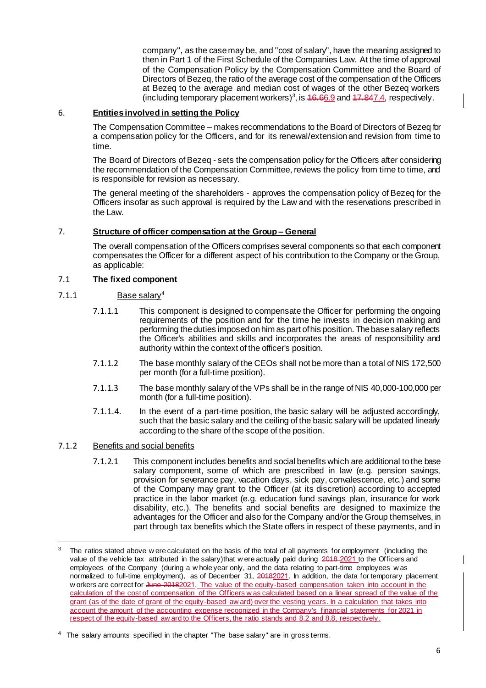company", as the case may be, and "cost of salary", have the meaning assigned to then in Part 1 of the First Schedule of the Companies Law. At the time of approval of the Compensation Policy by the Compensation Committee and the Board of Directors of Bezeq, the ratio of the average cost of the compensation of the Officers at Bezeq to the average and median cost of wages of the other Bezeq workers (including temporary placement workers)<sup>3</sup>, is  $46.66.9$  and  $47.847.4$ , respectively.

## 6. **Entities involved in setting the Policy**

The Compensation Committee – makes recommendations to the Board of Directors of Bezeq for a compensation policy for the Officers, and for its renewal/extension and revision from time to time.

The Board of Directors of Bezeq - sets the compensation policy for the Officers after considering the recommendation of the Compensation Committee, reviews the policy from time to time, and is responsible for revision as necessary.

The general meeting of the shareholders - approves the compensation policy of Bezeq for the Officers insofar as such approval is required by the Law and with the reservations prescribed in the Law.

## 7. **Structure of officer compensation at the Group – General**

The overall compensation of the Officers comprises several components so that each component compensates the Officer for a different aspect of his contribution to the Company or the Group, as applicable:

## 7.1 **The fixed component**

## 7.1.1 Base salary<sup>4</sup>

- 7.1.1.1 This component is designed to compensate the Officer for performing the ongoing requirements of the position and for the time he invests in decision making and performing the duties imposed on him as part of his position. The base salary reflects the Officer's abilities and skills and incorporates the areas of responsibility and authority within the context of the officer's position.
- 7.1.1.2 The base monthly salary of the CEOs shall not be more than a total of NIS 172,500 per month (for a full-time position).
- 7.1.1.3 The base monthly salary of the VPs shall be in the range of NIS 40,000-100,000 per month (for a full-time position).
- 7.1.1.4. In the event of a part-time position, the basic salary will be adjusted accordingly, such that the basic salary and the ceiling of the basic salary will be updated linearly according to the share of the scope of the position.

## 7.1.2 Benefits and social benefits

7.1.2.1 This component includes benefits and social benefits which are additional to the base salary component, some of which are prescribed in law (e.g. pension savings, provision for severance pay, vacation days, sick pay, convalescence, etc.) and some of the Company may grant to the Officer (at its discretion) according to accepted practice in the labor market (e.g. education fund savings plan, insurance for work disability, etc.). The benefits and social benefits are designed to maximize the advantages for the Officer and also for the Company and/or the Group themselves, in part through tax benefits which the State offers in respect of these payments, and in

<sup>3</sup> The ratios stated above w ere calculated on the basis of the total of all payments for employment (including the value of the vehicle tax attributed in the salary)that w ere actually paid during 2018-2021 to the Officers and employees of the Company (during a w hole year only, and the data relating to part-time employees w as normalized to full-time employment), as of December 31, 20182021. In addition, the data for temporary placement w orkers are correct for June 20182021. The value of the equity-based compensation taken into account in the calculation of the cost of compensation of the Officers w as calculated based on a linear spread of the value of the grant (as of the date of grant of the equity-based aw ard) over the vesting years. In a calculation that takes into account the amount of the accounting expense recognized in the Company's financial statements for 2021 in respect of the equity-based aw ard to the Officers, the ratio stands and 8.2 and 8.8, respectively.

 $4$  The salary amounts specified in the chapter "The base salary" are in gross terms.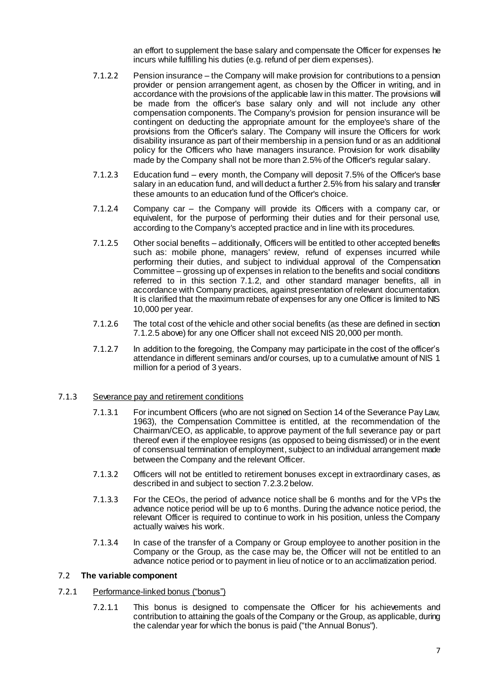an effort to supplement the base salary and compensate the Officer for expenses he incurs while fulfilling his duties (e.g. refund of per diem expenses).

- 7.1.2.2 Pension insurance the Company will make provision for contributions to a pension provider or pension arrangement agent, as chosen by the Officer in writing, and in accordance with the provisions of the applicable law in this matter. The provisions will be made from the officer's base salary only and will not include any other compensation components. The Company's provision for pension insurance will be contingent on deducting the appropriate amount for the employee's share of the provisions from the Officer's salary. The Company will insure the Officers for work disability insurance as part of their membership in a pension fund or as an additional policy for the Officers who have managers insurance. Provision for work disability made by the Company shall not be more than 2.5% of the Officer's regular salary.
- 7.1.2.3 Education fund every month, the Company will deposit 7.5% of the Officer's base salary in an education fund, and will deduct a further 2.5% from his salary and transfer these amounts to an education fund of the Officer's choice.
- 7.1.2.4 Company car the Company will provide its Officers with a company car, or equivalent, for the purpose of performing their duties and for their personal use, according to the Company's accepted practice and in line with its procedures.
- 7.1.2.5 Other social benefits additionally, Officers will be entitled to other accepted benefits such as: mobile phone, managers' review, refund of expenses incurred while performing their duties, and subject to individual approval of the Compensation Committee – grossing up of expenses in relation to the benefits and social conditions referred to in this section 7.1.2, and other standard manager benefits, all in accordance with Company practices, against presentation of relevant documentation. It is clarified that the maximum rebate of expenses for any one Officer is limited to NIS 10,000 per year.
- 7.1.2.6 The total cost of the vehicle and other social benefits (as these are defined in section 7.1.2.5 above) for any one Officer shall not exceed NIS 20,000 per month.
- 7.1.2.7 In addition to the foregoing, the Company may participate in the cost of the officer's attendance in different seminars and/or courses, up to a cumulative amount of NIS 1 million for a period of 3 years.

## 7.1.3 Severance pay and retirement conditions

- 7.1.3.1 For incumbent Officers (who are not signed on Section 14 of the Severance Pay Law, 1963), the Compensation Committee is entitled, at the recommendation of the Chairman/CEO, as applicable, to approve payment of the full severance pay or part thereof even if the employee resigns (as opposed to being dismissed) or in the event of consensual termination of employment, subject to an individual arrangement made between the Company and the relevant Officer.
- 7.1.3.2 Officers will not be entitled to retirement bonuses except in extraordinary cases, as described in and subject to section 7.2.3.2 below.
- 7.1.3.3 For the CEOs, the period of advance notice shall be 6 months and for the VPs the advance notice period will be up to 6 months. During the advance notice period, the relevant Officer is required to continue to work in his position, unless the Company actually waives his work.
- 7.1.3.4 In case of the transfer of a Company or Group employee to another position in the Company or the Group, as the case may be, the Officer will not be entitled to an advance notice period or to payment in lieu of notice or to an acclimatization period.

## 7.2 **The variable component**

## 7.2.1 Performance-linked bonus ("bonus")

7.2.1.1 This bonus is designed to compensate the Officer for his achievements and contribution to attaining the goals of the Company or the Group, as applicable, during the calendar year for which the bonus is paid ("the Annual Bonus").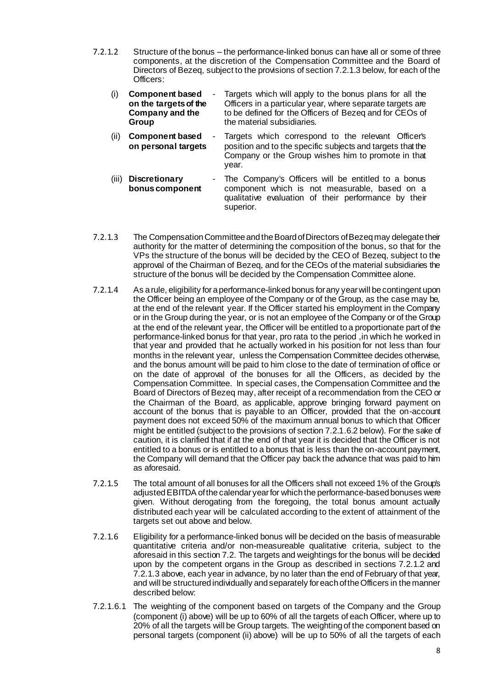- 7.2.1.2 Structure of the bonus the performance-linked bonus can have all or some of three components, at the discretion of the Compensation Committee and the Board of Directors of Bezeq, subject to the provisions of section 7.2.1.3 below, for each of the Officers:
	- (i) **Component based on the targets of the Company and the Group** Targets which will apply to the bonus plans for all the Officers in a particular year, where separate targets are to be defined for the Officers of Bezeq and for CEOs of the material subsidiaries.
	- (ii) **Component based on personal targets** Targets which correspond to the relevant Officer's position and to the specific subjects and targets that the Company or the Group wishes him to promote in that year.
	- (iii) **Discretionary bonus component**  The Company's Officers will be entitled to a bonus component which is not measurable, based on a qualitative evaluation of their performance by their superior.
- 7.2.1.3 The Compensation Committee and the Board of Directors of Bezeq may delegate their authority for the matter of determining the composition of the bonus, so that for the VPs the structure of the bonus will be decided by the CEO of Bezeq, subject to the approval of the Chairman of Bezeq, and for the CEOs of the material subsidiaries the structure of the bonus will be decided by the Compensation Committee alone.
- 7.2.1.4 As a rule, eligibility for a performance-linked bonus for any year will be contingent upon the Officer being an employee of the Company or of the Group, as the case may be, at the end of the relevant year. If the Officer started his employment in the Company or in the Group during the year, or is not an employee of the Company or of the Group at the end of the relevant year, the Officer will be entitled to a proportionate part of the performance-linked bonus for that year, pro rata to the period ,in which he worked in that year and provided that he actually worked in his position for not less than four months in the relevant year, unless the Compensation Committee decides otherwise, and the bonus amount will be paid to him close to the date of termination of office or on the date of approval of the bonuses for all the Officers, as decided by the Compensation Committee. In special cases, the Compensation Committee and the Board of Directors of Bezeq may, after receipt of a recommendation from the CEO or the Chairman of the Board, as applicable, approve bringing forward payment on account of the bonus that is payable to an Officer, provided that the on-account payment does not exceed 50% of the maximum annual bonus to which that Officer might be entitled (subject to the provisions of section 7.2.1.6.2 below). For the sake of caution, it is clarified that if at the end of that year it is decided that the Officer is not entitled to a bonus or is entitled to a bonus that is less than the on-account payment, the Company will demand that the Officer pay back the advance that was paid to him as aforesaid.
- 7.2.1.5 The total amount of all bonuses for all the Officers shall not exceed 1% of the Group's adjustedEBITDA of the calendar year for which the performance-based bonuses were given. Without derogating from the foregoing, the total bonus amount actually distributed each year will be calculated according to the extent of attainment of the targets set out above and below.
- 7.2.1.6 Eligibility for a performance-linked bonus will be decided on the basis of measurable quantitative criteria and/or non-measureable qualitative criteria, subject to the aforesaid in this section 7.2. The targets and weightings for the bonus will be decided upon by the competent organs in the Group as described in sections 7.2.1.2 and 7.2.1.3 above, each year in advance, by no later than the end of February of that year, and will be structured individually and separately for each of the Officers in the manner described below:
- 7.2.1.6.1 The weighting of the component based on targets of the Company and the Group (component (i) above) will be up to 60% of all the targets of each Officer, where up to 20% of all the targets will be Group targets. The weighting of the component based on personal targets (component (ii) above) will be up to 50% of all the targets of each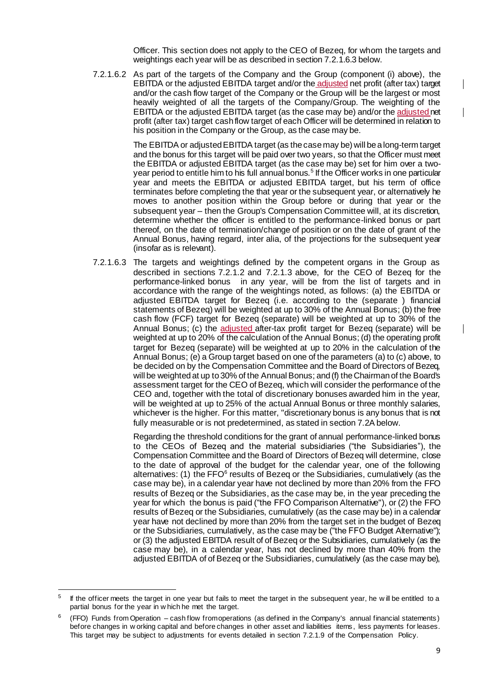Officer. This section does not apply to the CEO of Bezeq, for whom the targets and weightings each year will be as described in section 7.2.1.6.3 below.

7.2.1.6.2 As part of the targets of the Company and the Group (component (i) above), the EBITDA or the adjusted EBITDA target and/or the adjusted net profit (after tax) target and/or the cash flow target of the Company or the Group will be the largest or most heavily weighted of all the targets of the Company/Group. The weighting of the EBITDA or the adjusted EBITDA target (as the case may be) and/or the adjusted net profit (after tax) target cash flow target of each Officer will be determined in relation to his position in the Company or the Group, as the case may be.

> The EBITDA or adjusted EBITDA target (as the case may be) will be a long-term target and the bonus for this target will be paid over two years, so that the Officer must meet the EBITDA or adjusted EBITDA target (as the case may be) set for him over a twoyear period to entitle him to his full annual bonus.<sup>5</sup> If the Officer works in one particular year and meets the EBITDA or adjusted EBITDA target, but his term of office terminates before completing the that year or the subsequent year, or alternatively he moves to another position within the Group before or during that year or the subsequent year – then the Group's Compensation Committee will, at its discretion, determine whether the officer is entitled to the performance-linked bonus or part thereof, on the date of termination/change of position or on the date of grant of the Annual Bonus, having regard, inter alia, of the projections for the subsequent year (insofar as is relevant).

7.2.1.6.3 The targets and weightings defined by the competent organs in the Group as described in sections 7.2.1.2 and 7.2.1.3 above, for the CEO of Bezeq for the performance-linked bonus in any year, will be from the list of targets and in accordance with the range of the weightings noted, as follows: (a) the EBITDA or adjusted EBITDA target for Bezeq (i.e. according to the (separate ) financial statements of Bezeq) will be weighted at up to 30% of the Annual Bonus; (b) the free cash flow (FCF) target for Bezeq (separate) will be weighted at up to 30% of the Annual Bonus; (c) the adjusted after-tax profit target for Bezeq (separate) will be weighted at up to 20% of the calculation of the Annual Bonus; (d) the operating profit target for Bezeq (separate) will be weighted at up to 20% in the calculation of the Annual Bonus; (e) a Group target based on one of the parameters (a) to (c) above, to be decided on by the Compensation Committee and the Board of Directors of Bezeq, will be weighted at up to 30% of the Annual Bonus; and (f) theChairman of the Board's assessment target for the CEO of Bezeq, which will consider the performance of the CEO and, together with the total of discretionary bonuses awarded him in the year, will be weighted at up to 25% of the actual Annual Bonus or three monthly salaries. whichever is the higher. For this matter, "discretionary bonus is any bonus that is not fully measurable or is not predetermined, as stated in section 7.2A below.

> Regarding the threshold conditions for the grant of annual performance-linked bonus to the CEOs of Bezeq and the material subsidiaries ("the Subsidiaries"), the Compensation Committee and the Board of Directors of Bezeq will determine, close to the date of approval of the budget for the calendar year, one of the following alternatives: (1) the  $FFO<sup>6</sup>$  results of Bezeq or the Subsidiaries, cumulatively (as the case may be), in a calendar year have not declined by more than 20% from the FFO results of Bezeq or the Subsidiaries, as the case may be, in the year preceding the year for which the bonus is paid ("the FFO Comparison Alternative"), or (2) the FFO results of Bezeq or the Subsidiaries, cumulatively (as the case may be) in a calendar year have not declined by more than 20% from the target set in the budget of Bezeq or the Subsidiaries, cumulatively, as the case may be ("the FFO Budget Alternative"); or (3) the adjusted EBITDA result of of Bezeq or the Subsidiaries, cumulatively (as the case may be), in a calendar year, has not declined by more than 40% from the adjusted EBITDA of of Bezeq or the Subsidiaries, cumulatively (as the case may be),

 $\mathbf l$ 

 $\overline{\phantom{a}}$ 

<sup>–&</sup>lt;br>5 If the officer meets the target in one year but fails to meet the target in the subsequent year, he w ill be entitled to a partial bonus for the year in w hich he met the target.

<sup>6</sup> (FFO) Funds from Operation – cash flow from operations (as defined in the Company's annual financial statements) before changes in w orking capital and before changes in other asset and liabilities items , less payments for leases. This target may be subject to adjustments for events detailed in section 7.2.1.9 of the Compensation Policy.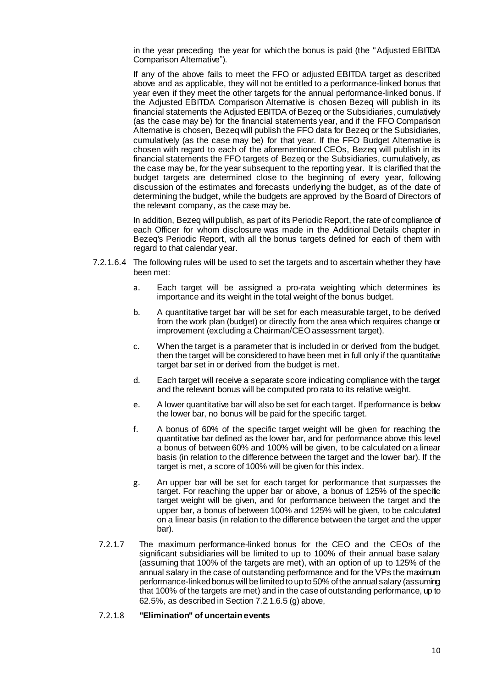in the year preceding the year for which the bonus is paid (the "Adjusted EBITDA Comparison Alternative").

If any of the above fails to meet the FFO or adjusted EBITDA target as described above and as applicable, they will not be entitled to a performance-linked bonus that year even if they meet the other targets for the annual performance-linked bonus. If the Adjusted EBITDA Comparison Alternative is chosen Bezeq will publish in its financial statements the Adjusted EBITDA of Bezeq or the Subsidiaries, cumulatively (as the case may be) for the financial statements year, and if the FFO Comparison Alternative is chosen, Bezeq will publish the FFO data for Bezeq or the Subsidiaries, cumulatively (as the case may be) for that year. If the FFO Budget Alternative is chosen with regard to each of the aforementioned CEOs, Bezeq will publish in its financial statements the FFO targets of Bezeq or the Subsidiaries, cumulatively, as the case may be, for the year subsequent to the reporting year. It is clarified that the budget targets are determined close to the beginning of every year, following discussion of the estimates and forecasts underlying the budget, as of the date of determining the budget, while the budgets are approved by the Board of Directors of the relevant company, as the case may be.

In addition, Bezeq will publish, as part of its Periodic Report, the rate of compliance of each Officer for whom disclosure was made in the Additional Details chapter in Bezeq's Periodic Report, with all the bonus targets defined for each of them with regard to that calendar year.

- 7.2.1.6.4 The following rules will be used to set the targets and to ascertain whether they have been met:
	- a. Each target will be assigned a pro-rata weighting which determines its importance and its weight in the total weight of the bonus budget.
	- b. A quantitative target bar will be set for each measurable target, to be derived from the work plan (budget) or directly from the area which requires change or improvement (excluding a Chairman/CEO assessment target).
	- c. When the target is a parameter that is included in or derived from the budget, then the target will be considered to have been met in full only if the quantitative target bar set in or derived from the budget is met.
	- d. Each target will receive a separate score indicating compliance with the target and the relevant bonus will be computed pro rata to its relative weight.
	- e. A lower quantitative bar will also be set for each target. If performance is below the lower bar, no bonus will be paid for the specific target.
	- f. A bonus of 60% of the specific target weight will be given for reaching the quantitative bar defined as the lower bar, and for performance above this level a bonus of between 60% and 100% will be given, to be calculated on a linear basis (in relation to the difference between the target and the lower bar). If the target is met, a score of 100% will be given for this index.
	- g. An upper bar will be set for each target for performance that surpasses the target. For reaching the upper bar or above, a bonus of 125% of the specific target weight will be given, and for performance between the target and the upper bar, a bonus of between 100% and 125% will be given, to be calculated on a linear basis (in relation to the difference between the target and the upper bar).
	- 7.2.1.7 The maximum performance-linked bonus for the CEO and the CEOs of the significant subsidiaries will be limited to up to 100% of their annual base salary (assuming that 100% of the targets are met), with an option of up to 125% of the annual salary in the case of outstanding performance and for the VPs the maximum performance-linked bonus will be limited to up to 50% of the annual salary (assuming that 100% of the targets are met) and in the case of outstanding performance, up to 62.5%, as described in Section 7.2.1.6.5 (g) above,

### 7.2.1.8 **"Elimination" of uncertain events**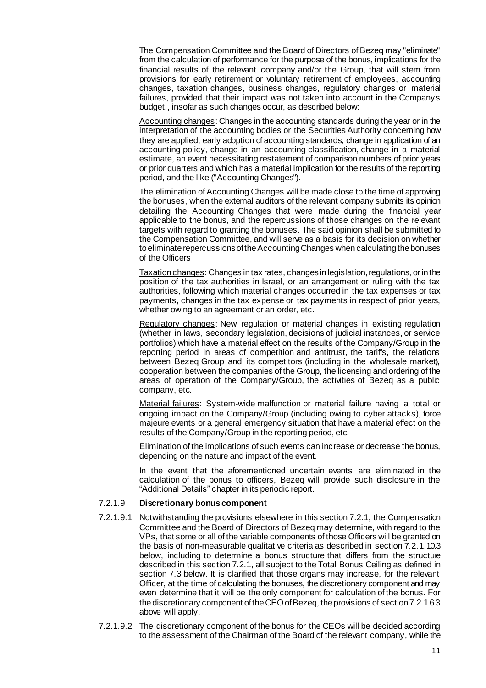The Compensation Committee and the Board of Directors of Bezeq may "eliminate" from the calculation of performance for the purpose of the bonus, implications for the financial results of the relevant company and/or the Group, that will stem from provisions for early retirement or voluntary retirement of employees, accounting changes, taxation changes, business changes, regulatory changes or material failures, provided that their impact was not taken into account in the Company's budget., insofar as such changes occur, as described below:

Accounting changes: Changes in the accounting standards during the year or in the interpretation of the accounting bodies or the Securities Authority concerning how they are applied, early adoption of accounting standards, change in application of an accounting policy, change in an accounting classification, change in a material estimate, an event necessitating restatement of comparison numbers of prior years or prior quarters and which has a material implication for the results of the reporting period, and the like ("Accounting Changes").

The elimination of Accounting Changes will be made close to the time of approving the bonuses, when the external auditors of the relevant company submits its opinion detailing the Accounting Changes that were made during the financial year applicable to the bonus, and the repercussions of those changes on the relevant targets with regard to granting the bonuses. The said opinion shall be submitted to the Compensation Committee, and will serve as a basis for its decision on whether to eliminate repercussions of the Accounting Changes when calculating the bonuses of the Officers

Taxation changes: Changes in tax rates, changes in legislation, regulations, or in the position of the tax authorities in Israel, or an arrangement or ruling with the tax authorities, following which material changes occurred in the tax expenses or tax payments, changes in the tax expense or tax payments in respect of prior years, whether owing to an agreement or an order, etc.

Regulatory changes: New regulation or material changes in existing regulation (whether in laws, secondary legislation, decisions of judicial instances, or service portfolios) which have a material effect on the results of the Company/Group in the reporting period in areas of competition and antitrust, the tariffs, the relations between Bezeq Group and its competitors (including in the wholesale market), cooperation between the companies of the Group, the licensing and ordering of the areas of operation of the Company/Group, the activities of Bezeq as a public company, etc.

Material failures: System-wide malfunction or material failure having a total or ongoing impact on the Company/Group (including owing to cyber attacks), force majeure events or a general emergency situation that have a material effect on the results of the Company/Group in the reporting period, etc.

Elimination of the implications of such events can increase or decrease the bonus, depending on the nature and impact of the event.

In the event that the aforementioned uncertain events are eliminated in the calculation of the bonus to officers, Bezeq will provide such disclosure in the "Additional Details" chapter in its periodic report.

## 7.2.1.9 **Discretionary bonus component**

- 7.2.1.9.1 Notwithstanding the provisions elsewhere in this section 7.2.1, the Compensation Committee and the Board of Directors of Bezeq may determine, with regard to the VPs, that some or all of the variable components of those Officers will be granted on the basis of non-measurable qualitative criteria as described in section 7.2.1.10.3 below, including to determine a bonus structure that differs from the structure described in this section 7.2.1, all subject to the Total Bonus Ceiling as defined in section 7.3 below. It is clarified that those organs may increase, for the relevant Officer, at the time of calculating the bonuses, the discretionary component and may even determine that it will be the only component for calculation of the bonus. For the discretionary component of the CEO of Bezeq, the provisions of section 7.2.1.6.3 above will apply.
- 7.2.1.9.2 The discretionary component of the bonus for the CEOs will be decided according to the assessment of the Chairman of the Board of the relevant company, while the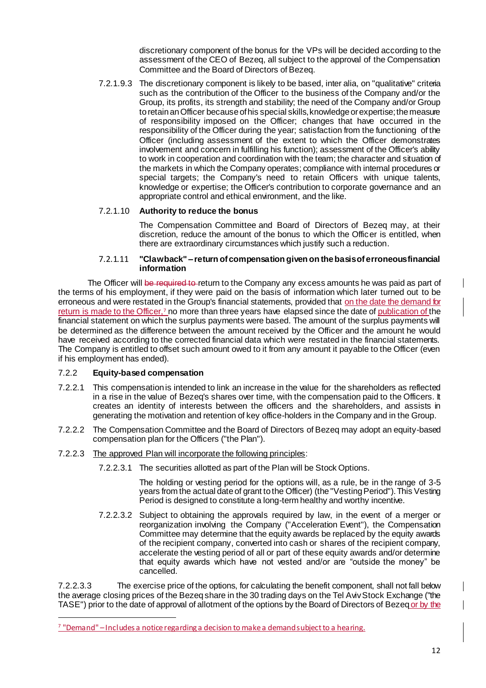discretionary component of the bonus for the VPs will be decided according to the assessment of the CEO of Bezeq, all subject to the approval of the Compensation Committee and the Board of Directors of Bezeq.

7.2.1.9.3 The discretionary component is likely to be based, inter alia, on "qualitative" criteria such as the contribution of the Officer to the business of the Company and/or the Group, its profits, its strength and stability; the need of the Company and/or Group to retain an Officer because of his special skills, knowledge or expertise; the measure of responsibility imposed on the Officer; changes that have occurred in the responsibility of the Officer during the year; satisfaction from the functioning of the Officer (including assessment of the extent to which the Officer demonstrates involvement and concern in fulfilling his function); assessment of the Officer's ability to work in cooperation and coordination with the team; the character and situation of the markets in which the Company operates; compliance with internal procedures or special targets; the Company's need to retain Officers with unique talents, knowledge or expertise; the Officer's contribution to corporate governance and an appropriate control and ethical environment, and the like.

## 7.2.1.10 **Authority to reduce the bonus**

The Compensation Committee and Board of Directors of Bezeq may, at their discretion, reduce the amount of the bonus to which the Officer is entitled, when there are extraordinary circumstances which justify such a reduction.

### 7.2.1.11 **"Clawback" – return of compensation given on the basis of erroneous financial information**

The Officer will be required to return to the Company any excess amounts he was paid as part of the terms of his employment, if they were paid on the basis of information which later turned out to be erroneous and were restated in the Group's financial statements, provided that on the date the demand for return is made to the Officer,<sup>7</sup> no more than three years have elapsed since the date of publication of the financial statement on which the surplus payments were based. The amount of the surplus payments will be determined as the difference between the amount received by the Officer and the amount he would have received according to the corrected financial data which were restated in the financial statements. The Company is entitled to offset such amount owed to it from any amount it payable to the Officer (even if his employment has ended).

## 7.2.2 **Equity-based compensation**

1

- 7.2.2.1 This compensation is intended to link an increase in the value for the shareholders as reflected in a rise in the value of Bezeq's shares over time, with the compensation paid to the Officers. It creates an identity of interests between the officers and the shareholders, and assists in generating the motivation and retention of key office-holders in the Company and in the Group.
- 7.2.2.2 The Compensation Committee and the Board of Directors of Bezeq may adopt an equity-based compensation plan for the Officers ("the Plan").

## 7.2.2.3 The approved Plan will incorporate the following principles:

7.2.2.3.1 The securities allotted as part of the Plan will be Stock Options.

The holding or vesting period for the options will, as a rule, be in the range of 3-5 years from the actual date of grant to the Officer) (the "Vesting Period"). This Vesting Period is designed to constitute a long-term healthy and worthy incentive.

7.2.2.3.2 Subject to obtaining the approvals required by law, in the event of a merger or reorganization involving the Company ("Acceleration Event"), the Compensation Committee may determine that the equity awards be replaced by the equity awards of the recipient company, converted into cash or shares of the recipient company, accelerate the vesting period of all or part of these equity awards and/or determine that equity awards which have not vested and/or are "outside the money" be cancelled.

7.2.2.3.3 The exercise price of the options, for calculating the benefit component, shall not fall below the average closing prices of the Bezeq share in the 30 trading days on the Tel Aviv Stock Exchange ("the TASE") prior to the date of approval of allotment of the options by the Board of Directors of Bezeq or by the  $\mathbf l$ 

<sup>&</sup>lt;sup>7</sup> "Demand" – Includes a notice regarding a decision to make a demand subject to a hearing.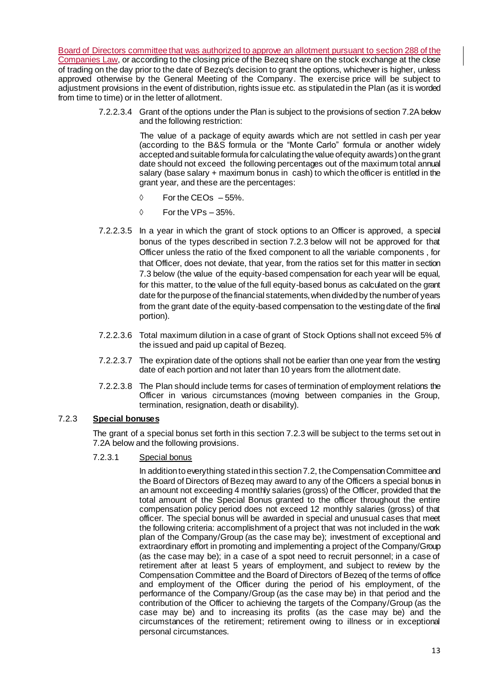Board of Directors committee that was authorized to approve an allotment pursuant to section 288 of the Companies Law, or according to the closing price of the Bezeq share on the stock exchange at the close of trading on the day prior to the date of Bezeq's decision to grant the options, whichever is higher, unless approved otherwise by the General Meeting of the Company. The exercise price will be subject to adjustment provisions in the event of distribution, rights issue etc. as stipulated in the Plan (as it is worded from time to time) or in the letter of allotment.

> 7.2.2.3.4 Grant of the options under the Plan is subject to the provisions of section 7.2A below and the following restriction:

> > The value of a package of equity awards which are not settled in cash per year (according to the B&S formula or the "Monte Carlo" formula or another widely accepted and suitable formula for calculating the value of equity awards) on the grant date should not exceed the following percentages out of the maximum total annual salary (base salary + maximum bonus in cash) to which the officer is entitled in the grant year, and these are the percentages:

- $\lozenge$  For the CEOs  $-55\%$ .
- $\Diamond$  For the VPs 35%.
- 7.2.2.3.5 In a year in which the grant of stock options to an Officer is approved, a special bonus of the types described in section 7.2.3 below will not be approved for that Officer unless the ratio of the fixed component to all the variable components , for that Officer, does not deviate, that year, from the ratios set for this matter in section 7.3 below (the value of the equity-based compensation for each year will be equal, for this matter, to the value of the full equity-based bonus as calculated on the grant date for the purpose of the financial statements, when divided by the number of years from the grant date of the equity-based compensation to the vesting date of the final portion).
- 7.2.2.3.6 Total maximum dilution in a case of grant of Stock Options shall not exceed 5% of the issued and paid up capital of Bezeq.
- 7.2.2.3.7 The expiration date of the options shall not be earlier than one year from the vesting date of each portion and not later than 10 years from the allotment date.
- 7.2.2.3.8 The Plan should include terms for cases of termination of employment relations the Officer in various circumstances (moving between companies in the Group, termination, resignation, death or disability).

## 7.2.3 **Special bonuses**

The grant of a special bonus set forth in this section 7.2.3 will be subject to the terms set out in 7.2A below and the following provisions.

## 7.2.3.1 Special bonus

In addition to everything stated in this section 7.2, the Compensation Committee and the Board of Directors of Bezeq may award to any of the Officers a special bonus in an amount not exceeding 4 monthly salaries (gross) of the Officer, provided that the total amount of the Special Bonus granted to the officer throughout the entire compensation policy period does not exceed 12 monthly salaries (gross) of that officer. The special bonus will be awarded in special and unusual cases that meet the following criteria: accomplishment of a project that was not included in the work plan of the Company/Group (as the case may be); investment of exceptional and extraordinary effort in promoting and implementing a project of the Company/Group (as the case may be); in a case of a spot need to recruit personnel; in a case of retirement after at least 5 years of employment, and subject to review by the Compensation Committee and the Board of Directors of Bezeq of the terms of office and employment of the Officer during the period of his employment, of the performance of the Company/Group (as the case may be) in that period and the contribution of the Officer to achieving the targets of the Company/Group (as the case may be) and to increasing its profits (as the case may be) and the circumstances of the retirement; retirement owing to illness or in exceptional personal circumstances.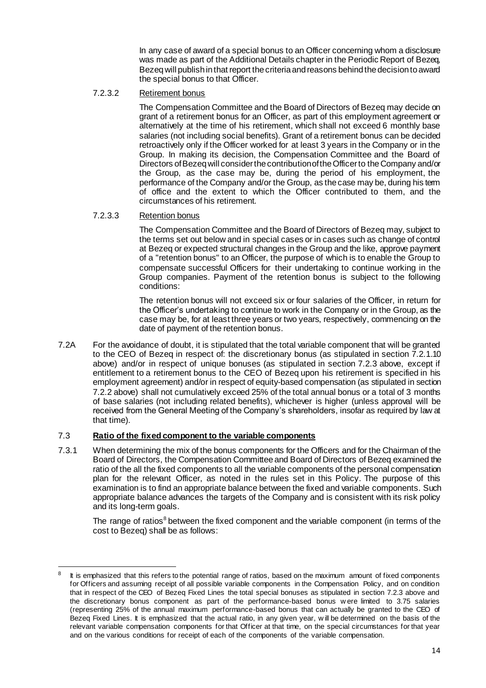In any case of award of a special bonus to an Officer concerning whom a disclosure was made as part of the Additional Details chapter in the Periodic Report of Bezeq, Bezeq will publish in that report the criteria and reasons behind the decision to award the special bonus to that Officer.

## 7.2.3.2 Retirement bonus

The Compensation Committee and the Board of Directors of Bezeq may decide on grant of a retirement bonus for an Officer, as part of this employment agreement or alternatively at the time of his retirement, which shall not exceed 6 monthly base salaries (not including social benefits). Grant of a retirement bonus can be decided retroactively only if the Officer worked for at least 3 years in the Company or in the Group. In making its decision, the Compensation Committee and the Board of Directors of Bezeq will consider the contribution of the Officer to the Company and/or the Group, as the case may be, during the period of his employment, the performance of the Company and/or the Group, as the case may be, during his term of office and the extent to which the Officer contributed to them, and the circumstances of his retirement.

## 7.2.3.3 Retention bonus

The Compensation Committee and the Board of Directors of Bezeq may, subject to the terms set out below and in special cases or in cases such as change of control at Bezeq or expected structural changes in the Group and the like, approve payment of a "retention bonus" to an Officer, the purpose of which is to enable the Group to compensate successful Officers for their undertaking to continue working in the Group companies. Payment of the retention bonus is subject to the following conditions:

The retention bonus will not exceed six or four salaries of the Officer, in return for the Officer's undertaking to continue to work in the Company or in the Group, as the case may be, for at least three years or two years, respectively, commencing on the date of payment of the retention bonus.

7.2A For the avoidance of doubt, it is stipulated that the total variable component that will be granted to the CEO of Bezeq in respect of: the discretionary bonus (as stipulated in section 7.2.1.10 above) and/or in respect of unique bonuses (as stipulated in section 7.2.3 above, except if entitlement to a retirement bonus to the CEO of Bezeq upon his retirement is specified in his employment agreement) and/or in respect of equity-based compensation (as stipulated in section 7.2.2 above) shall not cumulatively exceed 25% of the total annual bonus or a total of 3 months of base salaries (not including related benefits), whichever is higher (unless approval will be received from the General Meeting of the Company's shareholders, insofar as required by law at that time).

## 7.3 **Ratio of the fixed component to the variable components**

7.3.1 When determining the mix of the bonus components for the Officers and for the Chairman of the Board of Directors, the Compensation Committee and Board of Directors of Bezeq examined the ratio of the all the fixed components to all the variable components of the personal compensation plan for the relevant Officer, as noted in the rules set in this Policy. The purpose of this examination is to find an appropriate balance between the fixed and variable components. Such appropriate balance advances the targets of the Company and is consistent with its risk policy and its long-term goals.

The range of ratios<sup>8</sup> between the fixed component and the variable component (in terms of the cost to Bezeq) shall be as follows:

<sup>-</sup>8 It is emphasized that this refers to the potential range of ratios, based on the maximum amount of fixed components for Officers and assuming receipt of all possible variable components in the Compensation Policy, and on condition that in respect of the CEO of Bezeq Fixed Lines the total special bonuses as stipulated in section 7.2.3 above and the discretionary bonus component as part of the performance-based bonus w ere limited to 3.75 salaries (representing 25% of the annual maximum performance-based bonus that can actually be granted to the CEO of Bezeq Fixed Lines. It is emphasized that the actual ratio, in any given year, w ill be determined on the basis of the relevant variable compensation components for that Officer at that time, on the special circumstances for that year and on the various conditions for receipt of each of the components of the variable compensation.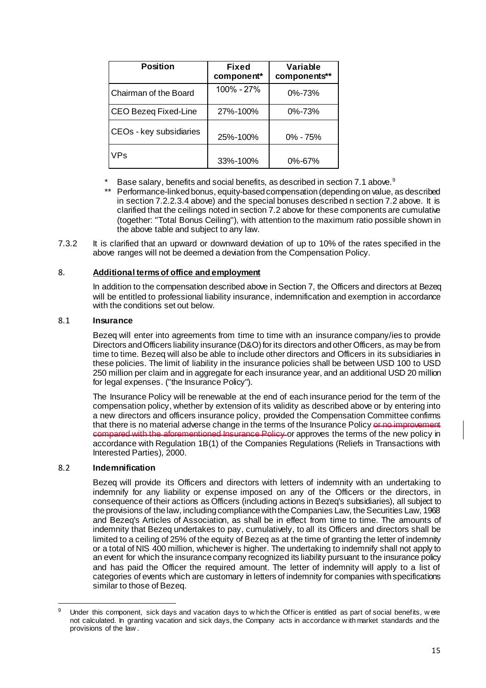| <b>Position</b>         | Fixed<br>component* | Variable<br>components** |
|-------------------------|---------------------|--------------------------|
| Chairman of the Board   | $100\% - 27\%$      | $0\% - 73\%$             |
| CEO Bezeq Fixed-Line    | 27%-100%            | $0\% - 73\%$             |
| CEOs - key subsidiaries | 25%-100%            | $0\% - 75\%$             |
| VPs                     | 33%-100%            | $0\% - 67\%$             |

Base salary, benefits and social benefits, as described in section 7.1 above.<sup>9</sup>

- \*\* Performance-linked bonus, equity-based compensation (depending on value, as described in section 7.2.2.3.4 above) and the special bonuses described n section 7.2 above. It is clarified that the ceilings noted in section 7.2 above for these components are cumulative (together: "Total Bonus Ceiling"), with attention to the maximum ratio possible shown in the above table and subject to any law.
- 7.3.2 It is clarified that an upward or downward deviation of up to 10% of the rates specified in the above ranges will not be deemed a deviation from the Compensation Policy.

#### 8. **Additional terms of office and employment**

In addition to the compensation described above in Section 7, the Officers and directors at Bezeq will be entitled to professional liability insurance, indemnification and exemption in accordance with the conditions set out below

#### 8.1 **Insurance**

Bezeq will enter into agreements from time to time with an insurance company/ies to provide Directors and Officers liability insurance (D&O) for its directors and other Officers, as may be from time to time. Bezeq will also be able to include other directors and Officers in its subsidiaries in these policies. The limit of liability in the insurance policies shall be between USD 100 to USD 250 million per claim and in aggregate for each insurance year, and an additional USD 20 million for legal expenses. ("the Insurance Policy").

The Insurance Policy will be renewable at the end of each insurance period for the term of the compensation policy, whether by extension of its validity as described above or by entering into a new directors and officers insurance policy, provided the Compensation Committee confirms that there is no material adverse change in the terms of the Insurance Policy or no improvement compared with the aforementioned Insurance Policy or approves the terms of the new policy in accordance with Regulation 1B(1) of the Companies Regulations (Reliefs in Transactions with Interested Parties), 2000.

### 8.2 **Indemnification**

Bezeq will provide its Officers and directors with letters of indemnity with an undertaking to indemnify for any liability or expense imposed on any of the Officers or the directors, in consequence of their actions as Officers (including actions in Bezeq's subsidiaries), all subject to the provisions of the law, including compliance with the Companies Law, the Securities Law, 1968 and Bezeq's Articles of Association, as shall be in effect from time to time. The amounts of indemnity that Bezeq undertakes to pay, cumulatively, to all its Officers and directors shall be limited to a ceiling of 25% of the equity of Bezeq as at the time of granting the letter of indemnity or a total of NIS 400 million, whichever is higher. The undertaking to indemnify shall not apply to an event for which the insurance company recognized its liability pursuant to the insurance policy and has paid the Officer the required amount. The letter of indemnity will apply to a list of categories of events which are customary in letters of indemnity for companies with specifications similar to those of Bezeq.

<sup>1</sup> Under this component, sick days and vacation days to w hich the Officer is entitled as part of social benefits, were not calculated. In granting vacation and sick days, the Company acts in accordance w ith market standards and the provisions of the law .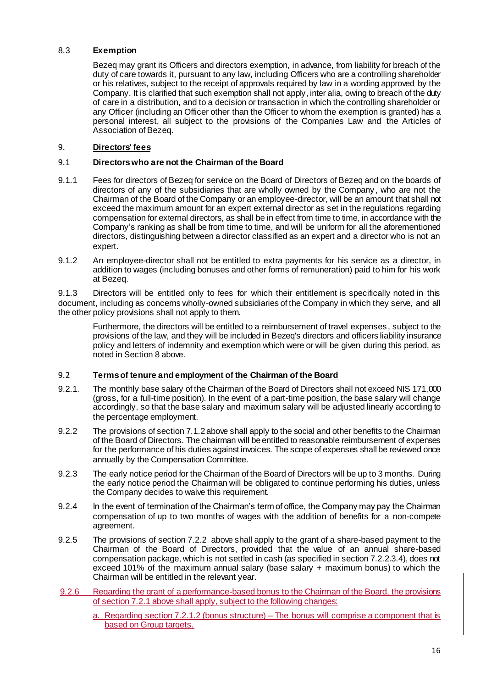## 8.3 **Exemption**

Bezeq may grant its Officers and directors exemption, in advance, from liability for breach of the duty of care towards it, pursuant to any law, including Officers who are a controlling shareholder or his relatives, subject to the receipt of approvals required by law in a wording approved by the Company. It is clarified that such exemption shall not apply, inter alia, owing to breach of the duty of care in a distribution, and to a decision or transaction in which the controlling shareholder or any Officer (including an Officer other than the Officer to whom the exemption is granted) has a personal interest, all subject to the provisions of the Companies Law and the Articles of Association of Bezeq.

## <span id="page-15-0"></span>9. **Directors' fees**

## 9.1 **Directors who are not the Chairman of the Board**

- 9.1.1 Fees for directors of Bezeq for service on the Board of Directors of Bezeq and on the boards of directors of any of the subsidiaries that are wholly owned by the Company , who are not the Chairman of the Board of the Company or an employee-director, will be an amount that shall not exceed the maximum amount for an expert external director as set in the regulations regarding compensation for external directors, as shall be in effect from time to time, in accordance with the Company's ranking as shall be from time to time, and will be uniform for all the aforementioned directors, distinguishing between a director classified as an expert and a director who is not an expert.
- 9.1.2 An employee-director shall not be entitled to extra payments for his service as a director, in addition to wages (including bonuses and other forms of remuneration) paid to him for his work at Bezeq.

9.1.3 Directors will be entitled only to fees for which their entitlement is specifically noted in this document, including as concerns wholly-owned subsidiaries of the Company in which they serve, and all the other policy provisions shall not apply to them.

Furthermore, the directors will be entitled to a reimbursement of travel expenses, subject to the provisions of the law, and they will be included in Bezeq's directors and officers liability insurance policy and letters of indemnity and exemption which were or will be given during this period, as noted in Section 8 above.

## 9.2 **Terms of tenure and employment of the Chairman of the Board**

- 9.2.1. The monthly base salary of the Chairman of the Board of Directors shall not exceed NIS 171,000 (gross, for a full-time position). In the event of a part-time position, the base salary will change accordingly, so that the base salary and maximum salary will be adjusted linearly according to the percentage employment.
- 9.2.2 The provisions of section 7.1.2 above shall apply to the social and other benefits to the Chairman of the Board of Directors. The chairman will be entitled to reasonable reimbursement of expenses for the performance of his duties against invoices. The scope of expenses shall be reviewed once annually by the Compensation Committee.
- 9.2.3 The early notice period for the Chairman of the Board of Directors will be up to 3 months. During the early notice period the Chairman will be obligated to continue performing his duties, unless the Company decides to waive this requirement.
- 9.2.4 In the event of termination of the Chairman's term of office, the Company may pay the Chairman compensation of up to two months of wages with the addition of benefits for a non-compete agreement.
- 9.2.5 The provisions of section 7.2.2 above shall apply to the grant of a share-based payment to the Chairman of the Board of Directors, provided that the value of an annual share-based compensation package, which is not settled in cash (as specified in section 7.2.2.3.4), does not exceed 101% of the maximum annual salary (base salary + maximum bonus) to which the Chairman will be entitled in the relevant year.
- 9.2.6 Regarding the grant of a performance-based bonus to the Chairman of the Board, the provisions of section 7.2.1 above shall apply, subject to the following changes:
	- a. Regarding section 7.2.1.2 (bonus structure) The bonus will comprise a component that is based on Group targets.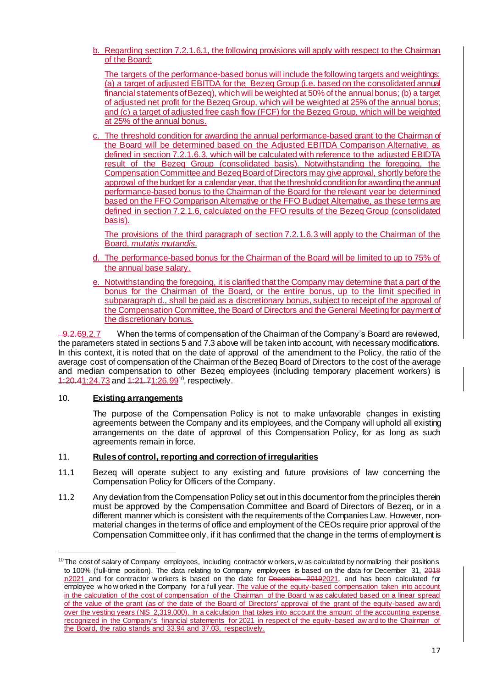b. Regarding section 7.2.1.6.1, the following provisions will apply with respect to the Chairman of the Board:

The targets of the performance-based bonus will include the following targets and weightings: (a) a target of adjusted EBITDA for the Bezeq Group (i.e. based on the consolidated annual financial statements of Bezeq), which will be weighted at 50% of the annual bonus; (b) a target of adjusted net profit for the Bezeq Group, which will be weighted at 25% of the annual bonus; and (c) a target of adjusted free cash flow (FCF) for the Bezeq Group, which will be weighted at 25% of the annual bonus.

c. The threshold condition for awarding the annual performance-based grant to the Chairman of the Board will be determined based on the Adjusted EBITDA Comparison Alternative, as defined in section 7.2.1.6.3, which will be calculated with reference to the adjusted EBIDTA result of the Bezeq Group (consolidated basis). Notwithstanding the foregoing, the Compensation Committee and Bezeq Board of Directors may give approval, shortly before the approval of the budget for a calendar year, that the threshold condition for awarding the annual performance-based bonus to the Chairman of the Board for the relevant year be determined based on the FFO Comparison Alternative or the FFO Budget Alternative, as these terms are defined in section 7.2.1.6, calculated on the FFO results of the Bezeq Group (consolidated basis).

The provisions of the third paragraph of section 7.2.1.6.3 will apply to the Chairman of the Board, *mutatis mutandis*.

- d. The performance-based bonus for the Chairman of the Board will be limited to up to 75% of the annual base salary.
- e. Notwithstanding the foregoing, it is clarified that the Company may determine that a part of the bonus for the Chairman of the Board, or the entire bonus, up to the limit specified in subparagraph d., shall be paid as a discretionary bonus, subject to receipt of the approval of the Compensation Committee, the Board of Directors and the General Meeting for payment of the discretionary bonus.

9.2.69.2.7 When the terms of compensation of the Chairman of the Company's Board are reviewed, the parameters stated in sections 5 and 7.3 above will be taken into account, with necessary modifications. In this context, it is noted that on the date of approval of the amendment to the Policy, the ratio of the average cost of compensation of the Chairman of the Bezeq Board of Directors to the cost of the average and median compensation to other Bezeq employees (including temporary placement workers) is 1:20.41:24.73 and 1:21.71:26.99<sup>10</sup>, respectively.

## 10. **Existing arrangements**

1

The purpose of the Compensation Policy is not to make unfavorable changes in existing agreements between the Company and its employees, and the Company will uphold all existing arrangements on the date of approval of this Compensation Policy, for as long as such agreements remain in force.

## 11. **Rules of control, reporting and correction of irregularities**

- 11.1 Bezeq will operate subject to any existing and future provisions of law concerning the Compensation Policy for Officers of the Company.
- 11.2 Any deviation from the Compensation Policy set out in this document or from the principles therein must be approved by the Compensation Committee and Board of Directors of Bezeq, or in a different manner which is consistent with the requirements of the Companies Law. However, nonmaterial changes in the terms of office and employment of the CEOs require prior approval of the Compensation Committee only, if it has confirmed that the change in the terms of employment is

 $10$  The cost of salary of Company employees, including contractor w orkers, w as calculated by normalizing their positions to 100% (full-time position). The data relating to Company employees is based on the data for December 31, 2018 n2021 and for contractor w orkers is based on the date for December 20192021, and has been calculated for employee w ho w orked in the Company for a full year. The value of the equity-based compensation taken into account in the calculation of the cost of compensation of the Chairman of the Board w as calculated based on a linear spread of the value of the grant (as of the date of the Board of Directors' approval of the grant of the equity-based aw ard) over the vesting years (NIS 2,319,000). In a calculation that takes into account the amount of the accounting expense recognized in the Company's financial statements for 2021 in respect of the equity -based aw ard to the Chairman of the Board, the ratio stands and 33.94 and 37.03, respectively.